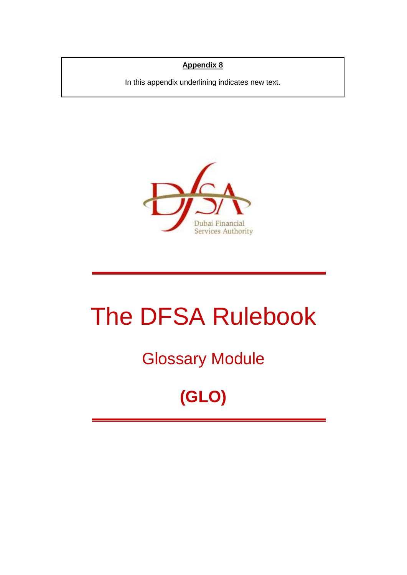### **Appendix 8**

In this appendix underlining indicates new text.



# The DFSA Rulebook

## Glossary Module

# **(GLO)**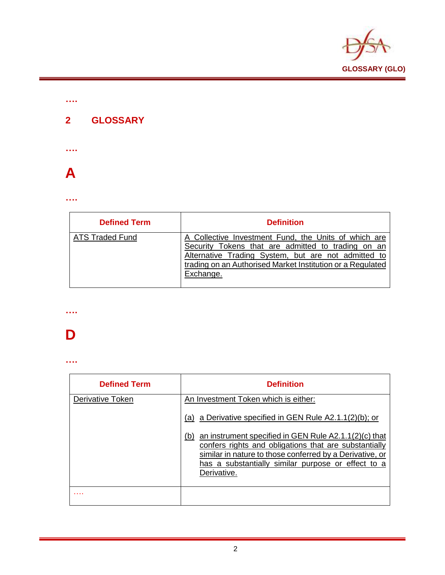

### **2 GLOSSARY**



**….**



#### **….**

| <b>Defined Term</b>    | <b>Definition</b>                                                                                                                                                                                                                            |
|------------------------|----------------------------------------------------------------------------------------------------------------------------------------------------------------------------------------------------------------------------------------------|
| <b>ATS Traded Fund</b> | A Collective Investment Fund, the Units of which are<br>Security Tokens that are admitted to trading on an<br>Alternative Trading System, but are not admitted to<br>trading on an Authorised Market Institution or a Regulated<br>Exchange. |

### **….**

### **D**

| <b>Defined Term</b> | <b>Definition</b>                                                                                                                                                                                                                                      |
|---------------------|--------------------------------------------------------------------------------------------------------------------------------------------------------------------------------------------------------------------------------------------------------|
| Derivative Token    | An Investment Token which is either:<br>(a) a Derivative specified in GEN Rule $A2.1.1(2)(b)$ ; or                                                                                                                                                     |
|                     | an instrument specified in GEN Rule A2.1.1(2)(c) that<br>(b)<br>confers rights and obligations that are substantially<br>similar in nature to those conferred by a Derivative, or<br>has a substantially similar purpose or effect to a<br>Derivative. |
|                     |                                                                                                                                                                                                                                                        |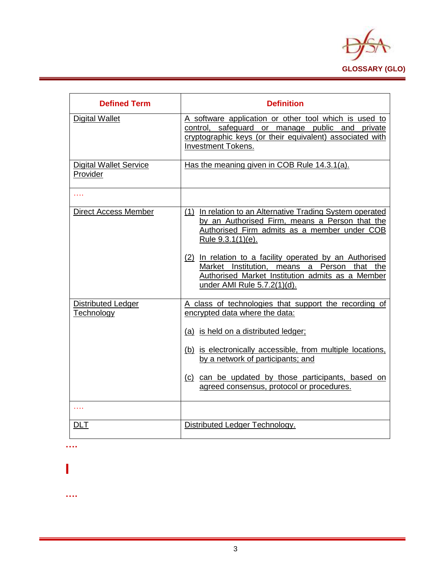

| <b>Defined Term</b>                       | <b>Definition</b>                                                                                                                                                                                 |
|-------------------------------------------|---------------------------------------------------------------------------------------------------------------------------------------------------------------------------------------------------|
| <b>Digital Wallet</b>                     | A software application or other tool which is used to<br>control, safeguard or manage public and private<br>cryptographic keys (or their equivalent) associated with<br><b>Investment Tokens.</b> |
| <b>Digital Wallet Service</b><br>Provider | Has the meaning given in COB Rule 14.3.1(a).                                                                                                                                                      |
| .                                         |                                                                                                                                                                                                   |
| <b>Direct Access Member</b>               | (1) In relation to an Alternative Trading System operated<br>by an Authorised Firm, means a Person that the<br>Authorised Firm admits as a member under COB<br>Rule 9.3.1(1)(e).                  |
|                                           | (2) In relation to a facility operated by an Authorised<br>Market Institution, means a Person that the<br>Authorised Market Institution admits as a Member<br>under AMI Rule 5.7.2(1)(d).         |
| <b>Distributed Ledger</b><br>Technology   | A class of technologies that support the recording of<br>encrypted data where the data:                                                                                                           |
|                                           | (a) is held on a distributed ledger;                                                                                                                                                              |
|                                           | (b) is electronically accessible, from multiple locations,<br>by a network of participants; and                                                                                                   |
|                                           | (c) can be updated by those participants, based on<br>agreed consensus, protocol or procedures.                                                                                                   |
| .                                         |                                                                                                                                                                                                   |
| <b>DLT</b>                                | Distributed Ledger Technology.                                                                                                                                                                    |

**….**

### **I**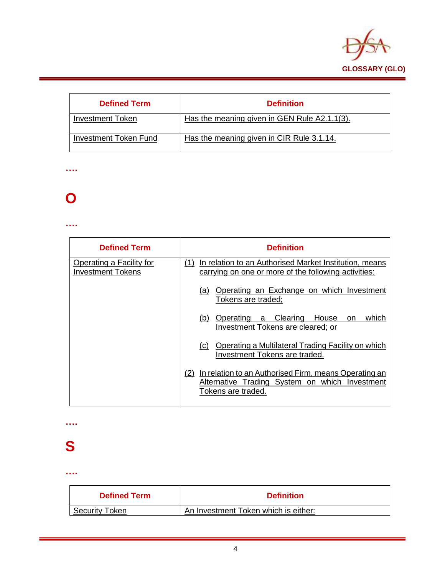

| <b>Defined Term</b>          | <b>Definition</b>                            |
|------------------------------|----------------------------------------------|
| <b>Investment Token</b>      | Has the meaning given in GEN Rule A2.1.1(3). |
| <b>Investment Token Fund</b> | Has the meaning given in CIR Rule 3.1.14.    |

#### **….**

### **O**

#### **….**

| <b>Defined Term</b>                                  | <b>Definition</b>                                                                                                                    |
|------------------------------------------------------|--------------------------------------------------------------------------------------------------------------------------------------|
| Operating a Facility for<br><b>Investment Tokens</b> | In relation to an Authorised Market Institution, means<br>(1)<br>carrying on one or more of the following activities:                |
|                                                      | Operating an Exchange on which Investment<br>(a)<br>Tokens are traded;                                                               |
|                                                      | Operating a Clearing<br><b>House</b><br>which<br>(b)<br><sub>on</sub><br>Investment Tokens are cleared; or                           |
|                                                      | Operating a Multilateral Trading Facility on which<br>(C)<br>Investment Tokens are traded.                                           |
|                                                      | In relation to an Authorised Firm, means Operating an<br>(2)<br>Alternative Trading System on which Investment<br>Tokens are traded. |

**….**

### **S**

| <b>Defined Term</b>   | <b>Definition</b>                    |
|-----------------------|--------------------------------------|
| <b>Security Token</b> | An Investment Token which is either: |